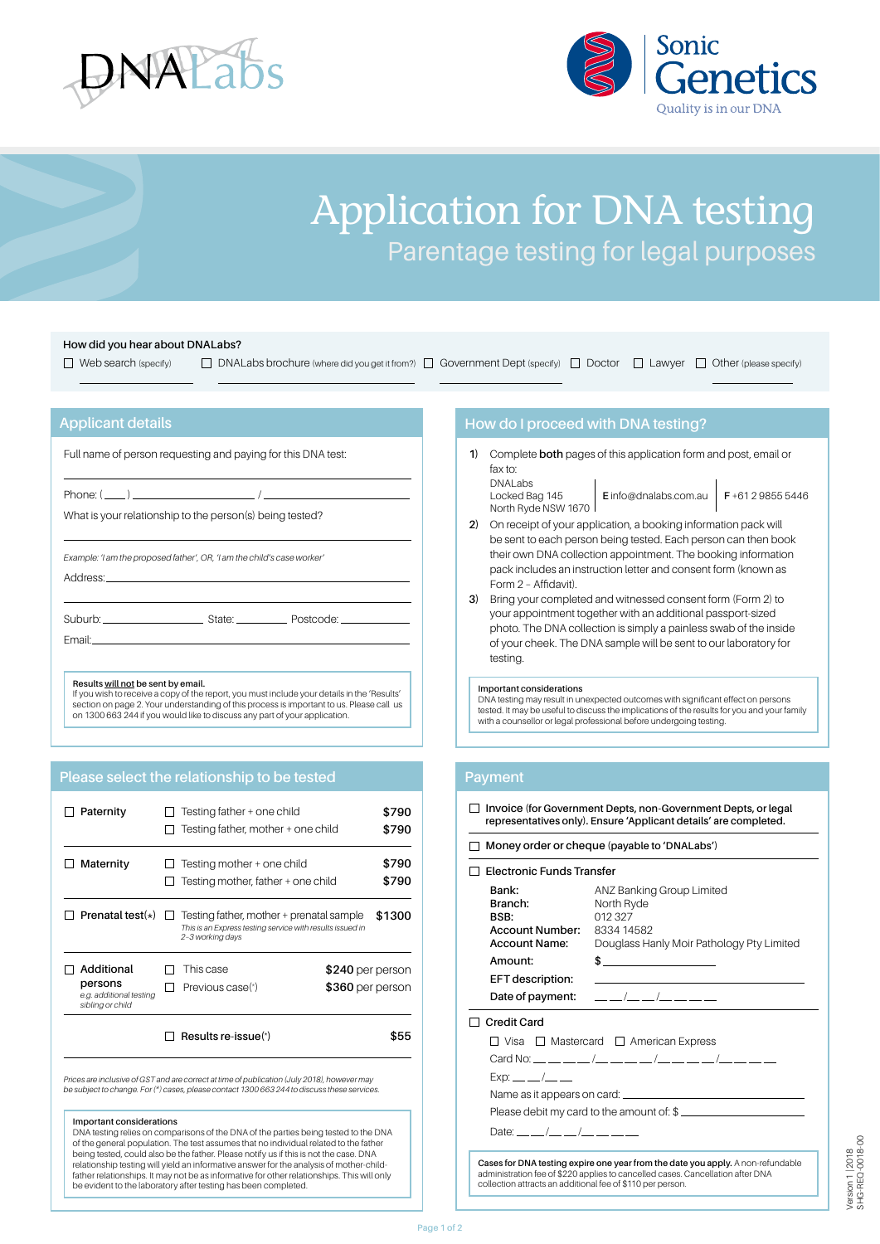



## Application for DNA testing Parentage testing for legal purposes

#### **How did you hear about DNALabs?**

 $\Box$  Web search (specify)  $\Box$  DNALabs brochure (where did you get it from?)  $\Box$  Government Dept (specify)  $\Box$  Doctor  $\Box$  Lawyer  $\Box$  Other (please specify)

#### **Applicant details**

Full name of person requesting and paying for this DNA test:

Phone: ( ) / What is your relationship to the person(s) being tested?

*Example: 'I am the proposed father', OR, 'I am the child's case worker'* Address:

**Please select the relationship to be tested**

Suburb: Suburb: State: State: Postcode:

Email:

#### **Results will not be sent by email.**

If you wish to receive a copy of the report, you must include your details in the 'Results' section on page 2. Your understanding of this process is important to us. Please call us on 1300 663 244 if you would like to discuss any part of your application.

| sibling or child                                 |                               | \$360 per person |                                                                                                                                                                                                        |
|--------------------------------------------------|-------------------------------|------------------|--------------------------------------------------------------------------------------------------------------------------------------------------------------------------------------------------------|
| Additional<br>persons<br>e.g. additional testing | This case<br>Previous case(*) |                  |                                                                                                                                                                                                        |
| Prenatal test $(*)$                              | 2-3 working days              |                  | \$1300                                                                                                                                                                                                 |
| Maternity                                        | Testing mother + one child    |                  | \$790<br>\$790                                                                                                                                                                                         |
| Paternity                                        | Testing father + one child    |                  | \$790<br>\$790                                                                                                                                                                                         |
|                                                  |                               |                  | Testing father, mother + one child<br>Testing mother, father + one child<br>Testing father, mother + prenatal sample<br>This is an Express testing service with results issued in<br>$$240$ per person |

*Prices are inclusive of GST and are correct at time of publication (July 2018), however may be subject to change. For (\*) cases, please contact 1300 663 244 to discuss these services.* 

#### **Important considerations**

DNA testing relies on comparisons of the DNA of the parties being tested to the DNA of the general population. The test assumes that no individual related to the father being tested, could also be the father. Please notify us if this is not the case. DNA relationship testing will yield an informative answer for the analysis of mother-childfather relationships. It may not be as informative for other relationships. This will only be evident to the laboratory after testing has been completed.

#### **How do I proceed with DNA testing?**

**1)** Complete **both** pages of this application form and post, email or fax to: DNALabs

Locked Bag 145 North Ryde NSW 1670

**E** info@dnalabs.com.au **F** +61 2 9855 5446

- **2)** On receipt of your application, a booking information pack will be sent to each person being tested. Each person can then book their own DNA collection appointment. The booking information pack includes an instruction letter and consent form (known as Form 2 – Affidavit).
- **3)** Bring your completed and witnessed consent form (Form 2) to your appointment together with an additional passport-sized photo. The DNA collection is simply a painless swab of the inside of your cheek. The DNA sample will be sent to our laboratory for testing.

#### **Important considerations**

DNA testing may result in unexpected outcomes with significant effect on persons tested. It may be useful to discuss the implications of the results for you and your family with a counsellor or legal professional before undergoing testing.

#### **Payment**

**Invoice (for Government Depts, non-Government Depts, or legal representatives only). Ensure 'Applicant details' are completed.**

#### **Money order or cheque (payable to 'DNALabs')**

| <b>Electronic Funds Transfer</b>                                                      |                                                                                                |  |
|---------------------------------------------------------------------------------------|------------------------------------------------------------------------------------------------|--|
| <b>Bank:</b><br>Branch:<br>BSB:<br><b>Account Number: 8334 14582</b><br>Account Name: | ANZ Banking Group Limited<br>North Ryde<br>012327<br>Douglass Hanly Moir Pathology Pty Limited |  |
| Amount:                                                                               |                                                                                                |  |
| EFT description:                                                                      |                                                                                                |  |
|                                                                                       | Date of payment: $\_\_\_/\_\_/\_\_/\_\_$                                                       |  |
| <b>Credit Card</b>                                                                    |                                                                                                |  |
|                                                                                       |                                                                                                |  |
|                                                                                       | $\Box$ Visa $\Box$ Mastercard $\Box$ American Express                                          |  |
|                                                                                       |                                                                                                |  |
| $Exp:$ __ __ /__ __                                                                   |                                                                                                |  |
|                                                                                       |                                                                                                |  |
|                                                                                       | Please debit my card to the amount of: \$                                                      |  |

**Cases for DNA testing expire one year from the date you apply.** A non-refundable administration fee of \$220 applies to cancelled cases. Cancellation after DNA collection attracts an additional fee of \$110 per person.